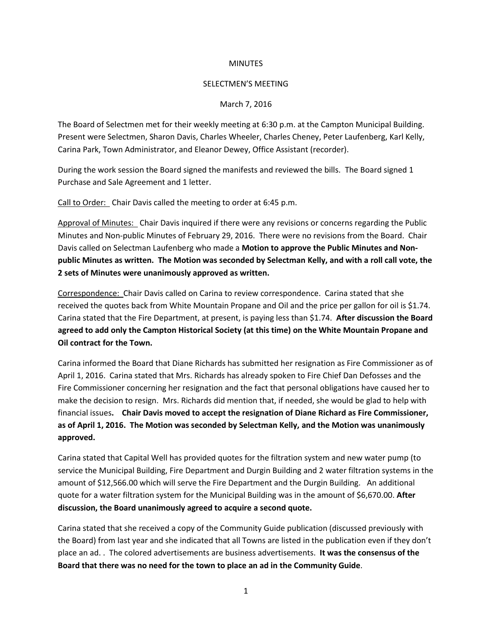## **MINUTES**

## SELECTMEN'S MEETING

## March 7, 2016

The Board of Selectmen met for their weekly meeting at 6:30 p.m. at the Campton Municipal Building. Present were Selectmen, Sharon Davis, Charles Wheeler, Charles Cheney, Peter Laufenberg, Karl Kelly, Carina Park, Town Administrator, and Eleanor Dewey, Office Assistant (recorder).

During the work session the Board signed the manifests and reviewed the bills. The Board signed 1 Purchase and Sale Agreement and 1 letter.

Call to Order: Chair Davis called the meeting to order at 6:45 p.m.

Approval of Minutes: Chair Davis inquired if there were any revisions or concerns regarding the Public Minutes and Non-public Minutes of February 29, 2016. There were no revisions from the Board. Chair Davis called on Selectman Laufenberg who made a **Motion to approve the Public Minutes and Nonpublic Minutes as written. The Motion was seconded by Selectman Kelly, and with a roll call vote, the 2 sets of Minutes were unanimously approved as written.**

Correspondence: Chair Davis called on Carina to review correspondence. Carina stated that she received the quotes back from White Mountain Propane and Oil and the price per gallon for oil is \$1.74. Carina stated that the Fire Department, at present, is paying less than \$1.74. **After discussion the Board agreed to add only the Campton Historical Society (at this time) on the White Mountain Propane and Oil contract for the Town.**

Carina informed the Board that Diane Richards has submitted her resignation as Fire Commissioner as of April 1, 2016. Carina stated that Mrs. Richards has already spoken to Fire Chief Dan Defosses and the Fire Commissioner concerning her resignation and the fact that personal obligations have caused her to make the decision to resign. Mrs. Richards did mention that, if needed, she would be glad to help with financial issues**. Chair Davis moved to accept the resignation of Diane Richard as Fire Commissioner, as of April 1, 2016. The Motion was seconded by Selectman Kelly, and the Motion was unanimously approved.**

Carina stated that Capital Well has provided quotes for the filtration system and new water pump (to service the Municipal Building, Fire Department and Durgin Building and 2 water filtration systems in the amount of \$12,566.00 which will serve the Fire Department and the Durgin Building. An additional quote for a water filtration system for the Municipal Building was in the amount of \$6,670.00. **After discussion, the Board unanimously agreed to acquire a second quote.**

Carina stated that she received a copy of the Community Guide publication (discussed previously with the Board) from last year and she indicated that all Towns are listed in the publication even if they don't place an ad. . The colored advertisements are business advertisements. **It was the consensus of the Board that there was no need for the town to place an ad in the Community Guide**.

1